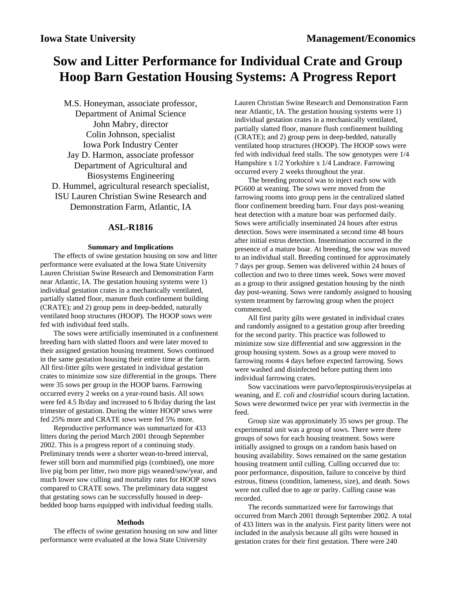# **Sow and Litter Performance for Individual Crate and Group Hoop Barn Gestation Housing Systems: A Progress Report**

M.S. Honeyman, associate professor, Department of Animal Science John Mabry, director Colin Johnson, specialist Iowa Pork Industry Center Jay D. Harmon, associate professor Department of Agricultural and Biosystems Engineering D. Hummel, agricultural research specialist, ISU Lauren Christian Swine Research and Demonstration Farm, Atlantic, IA

## **ASL-R1816**

### **Summary and Implications**

The effects of swine gestation housing on sow and litter performance were evaluated at the Iowa State University Lauren Christian Swine Research and Demonstration Farm near Atlantic, IA. The gestation housing systems were 1) individual gestation crates in a mechanically ventilated, partially slatted floor, manure flush confinement building (CRATE); and 2) group pens in deep-bedded, naturally ventilated hoop structures (HOOP). The HOOP sows were fed with individual feed stalls.

The sows were artificially inseminated in a confinement breeding barn with slatted floors and were later moved to their assigned gestation housing treatment. Sows continued in the same gestation housing their entire time at the farm. All first-litter gilts were gestated in individual gestation crates to minimize sow size differential in the groups. There were 35 sows per group in the HOOP barns. Farrowing occurred every 2 weeks on a year-round basis. All sows were fed 4.5 lb/day and increased to 6 lb/day during the last trimester of gestation. During the winter HOOP sows were fed 25% more and CRATE sows were fed 5% more.

Reproductive performance was summarized for 433 litters during the period March 2001 through September 2002. This is a progress report of a continuing study. Preliminary trends were a shorter wean-to-breed interval, fewer still born and mummified pigs (combined), one more live pig born per litter, two more pigs weaned/sow/year, and much lower sow culling and mortality rates for HOOP sows compared to CRATE sows. The preliminary data suggest that gestating sows can be successfully housed in deepbedded hoop barns equipped with individual feeding stalls.

### **Methods**

The effects of swine gestation housing on sow and litter performance were evaluated at the Iowa State University

Lauren Christian Swine Research and Demonstration Farm near Atlantic, IA. The gestation housing systems were 1) individual gestation crates in a mechanically ventilated, partially slatted floor, manure flush confinement building (CRATE); and 2) group pens in deep-bedded, naturally ventilated hoop structures (HOOP). The HOOP sows were fed with individual feed stalls. The sow genotypes were 1/4 Hampshire x 1/2 Yorkshire x 1/4 Landrace. Farrowing occurred every 2 weeks throughout the year.

The breeding protocol was to inject each sow with PG600 at weaning. The sows were moved from the farrowing rooms into group pens in the centralized slatted floor confinement breeding barn. Four days post-weaning heat detection with a mature boar was performed daily. Sows were artificially inseminated 24 hours after estrus detection. Sows were inseminated a second time 48 hours after initial estrus detection. Insemination occurred in the presence of a mature boar. At breeding, the sow was moved to an individual stall. Breeding continued for approximately 7 days per group. Semen was delivered within 24 hours of collection and two to three times week. Sows were moved as a group to their assigned gestation housing by the ninth day post-weaning. Sows were randomly assigned to housing system treatment by farrowing group when the project commenced.

All first parity gilts were gestated in individual crates and randomly assigned to a gestation group after breeding for the second parity. This practice was followed to minimize sow size differential and sow aggression in the group housing system. Sows as a group were moved to farrowing rooms 4 days before expected farrowing. Sows were washed and disinfected before putting them into individual farrowing crates.

Sow vaccinations were parvo/leptospirosis/erysipelas at weaning, and *E. coli* and *clostridial* scours during lactation. Sows were dewormed twice per year with ivermectin in the feed.

Group size was approximately 35 sows per group. The experimental unit was a group of sows. There were three groups of sows for each housing treatment. Sows were initially assigned to groups on a random basis based on housing availability. Sows remained on the same gestation housing treatment until culling. Culling occurred due to: poor performance, disposition, failure to conceive by third estrous, fitness (condition, lameness, size), and death. Sows were not culled due to age or parity. Culling cause was recorded.

The records summarized were for farrowings that occurred from March 2001 through September 2002. A total of 433 litters was in the analysis. First parity litters were not included in the analysis because all gilts were housed in gestation crates for their first gestation. There were 240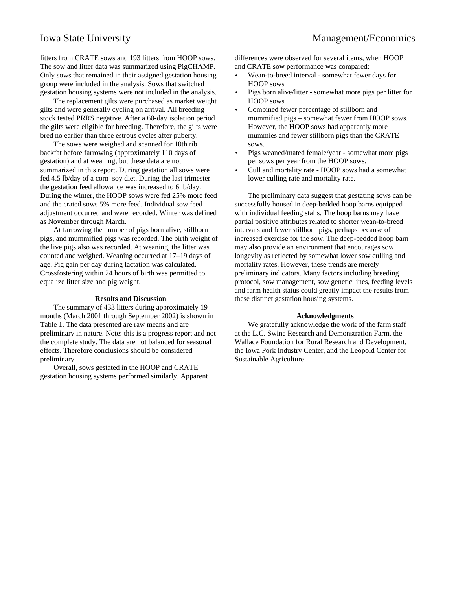litters from CRATE sows and 193 litters from HOOP sows. The sow and litter data was summarized using PigCHAMP. Only sows that remained in their assigned gestation housing group were included in the analysis. Sows that switched gestation housing systems were not included in the analysis.

The replacement gilts were purchased as market weight gilts and were generally cycling on arrival. All breeding stock tested PRRS negative. After a 60-day isolation period the gilts were eligible for breeding. Therefore, the gilts were bred no earlier than three estrous cycles after puberty.

The sows were weighed and scanned for 10th rib backfat before farrowing (approximately 110 days of gestation) and at weaning, but these data are not summarized in this report. During gestation all sows were fed 4.5 lb/day of a corn–soy diet. During the last trimester the gestation feed allowance was increased to 6 lb/day. During the winter, the HOOP sows were fed 25% more feed and the crated sows 5% more feed. Individual sow feed adjustment occurred and were recorded. Winter was defined as November through March.

At farrowing the number of pigs born alive, stillborn pigs, and mummified pigs was recorded. The birth weight of the live pigs also was recorded. At weaning, the litter was counted and weighed. Weaning occurred at 17–19 days of age. Pig gain per day during lactation was calculated. Crossfostering within 24 hours of birth was permitted to equalize litter size and pig weight.

### **Results and Discussion**

The summary of 433 litters during approximately 19 months (March 2001 through September 2002) is shown in Table 1. The data presented are raw means and are preliminary in nature. Note: this is a progress report and not the complete study. The data are not balanced for seasonal effects. Therefore conclusions should be considered preliminary.

Overall, sows gestated in the HOOP and CRATE gestation housing systems performed similarly. Apparent differences were observed for several items, when HOOP and CRATE sow performance was compared:

- Wean-to-breed interval somewhat fewer days for HOOP sows
- Pigs born alive/litter somewhat more pigs per litter for HOOP sows
- Combined fewer percentage of stillborn and mummified pigs – somewhat fewer from HOOP sows. However, the HOOP sows had apparently more mummies and fewer stillborn pigs than the CRATE sows.
- Pigs weaned/mated female/year somewhat more pigs per sows per year from the HOOP sows.
- Cull and mortality rate HOOP sows had a somewhat lower culling rate and mortality rate.

The preliminary data suggest that gestating sows can be successfully housed in deep-bedded hoop barns equipped with individual feeding stalls. The hoop barns may have partial positive attributes related to shorter wean-to-breed intervals and fewer stillborn pigs, perhaps because of increased exercise for the sow. The deep-bedded hoop barn may also provide an environment that encourages sow longevity as reflected by somewhat lower sow culling and mortality rates. However, these trends are merely preliminary indicators. Many factors including breeding protocol, sow management, sow genetic lines, feeding levels and farm health status could greatly impact the results from these distinct gestation housing systems.

### **Acknowledgments**

We gratefully acknowledge the work of the farm staff at the L.C. Swine Research and Demonstration Farm, the Wallace Foundation for Rural Research and Development, the Iowa Pork Industry Center, and the Leopold Center for Sustainable Agriculture.